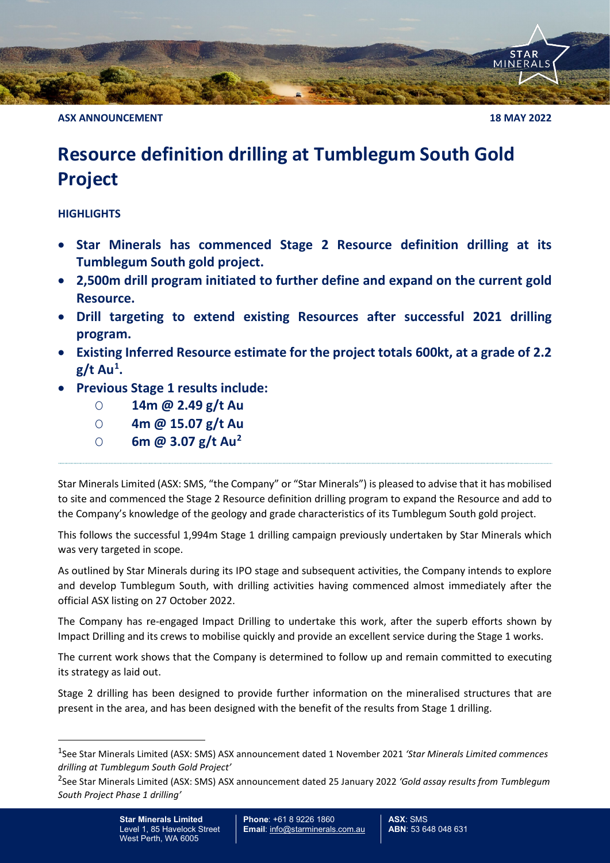**ASX ANNOUNCEMENT 18 MAY 2022**

**MINE** 

# **Resource definition drilling at Tumblegum South Gold Project**

## **HIGHLIGHTS**

- **Star Minerals has commenced Stage 2 Resource definition drilling at its Tumblegum South gold project.**
- **2,500m drill program initiated to further define and expand on the current gold Resource.**
- **Drill targeting to extend existing Resources after successful 2021 drilling program.**
- **Existing Inferred Resource estimate for the project totals 600kt, at a grade of 2.2 g/t Au[1](#page-0-0) .**
- **Previous Stage 1 results include:**
	- O **14m @ 2.49 g/t Au**
	- O **4m @ 15.07 g/t Au**
	- O **6m @ 3.07 g/t Au[2](#page-0-1)**

Star Minerals Limited (ASX: SMS, "the Company" or "Star Minerals") is pleased to advise that it has mobilised to site and commenced the Stage 2 Resource definition drilling program to expand the Resource and add to the Company's knowledge of the geology and grade characteristics of its Tumblegum South gold project.

This follows the successful 1,994m Stage 1 drilling campaign previously undertaken by Star Minerals which was very targeted in scope.

As outlined by Star Minerals during its IPO stage and subsequent activities, the Company intends to explore and develop Tumblegum South, with drilling activities having commenced almost immediately after the official ASX listing on 27 October 2022.

The Company has re-engaged Impact Drilling to undertake this work, after the superb efforts shown by Impact Drilling and its crews to mobilise quickly and provide an excellent service during the Stage 1 works.

The current work shows that the Company is determined to follow up and remain committed to executing its strategy as laid out.

Stage 2 drilling has been designed to provide further information on the mineralised structures that are present in the area, and has been designed with the benefit of the results from Stage 1 drilling.

<span id="page-0-0"></span><sup>1</sup>See Star Minerals Limited (ASX: SMS) ASX announcement dated 1 November 2021 *'Star Minerals Limited commences drilling at Tumblegum South Gold Project'*

<span id="page-0-1"></span><sup>2</sup>See Star Minerals Limited (ASX: SMS) ASX announcement dated 25 January 2022 *'Gold assay results from Tumblegum South Project Phase 1 drilling'*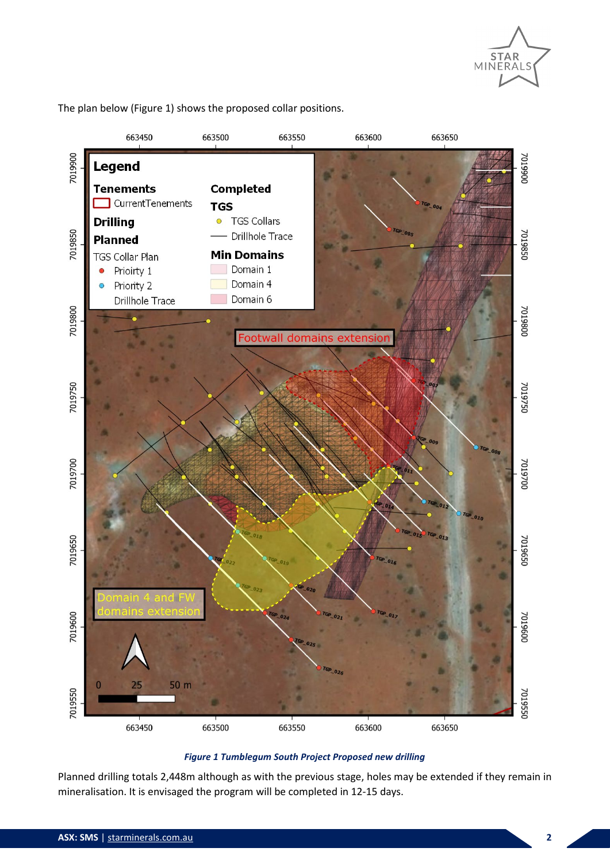

The plan below (Figure 1) shows the proposed collar positions.



### *Figure 1 Tumblegum South Project Proposed new drilling*

Planned drilling totals 2,448m although as with the previous stage, holes may be extended if they remain in mineralisation. It is envisaged the program will be completed in 12-15 days.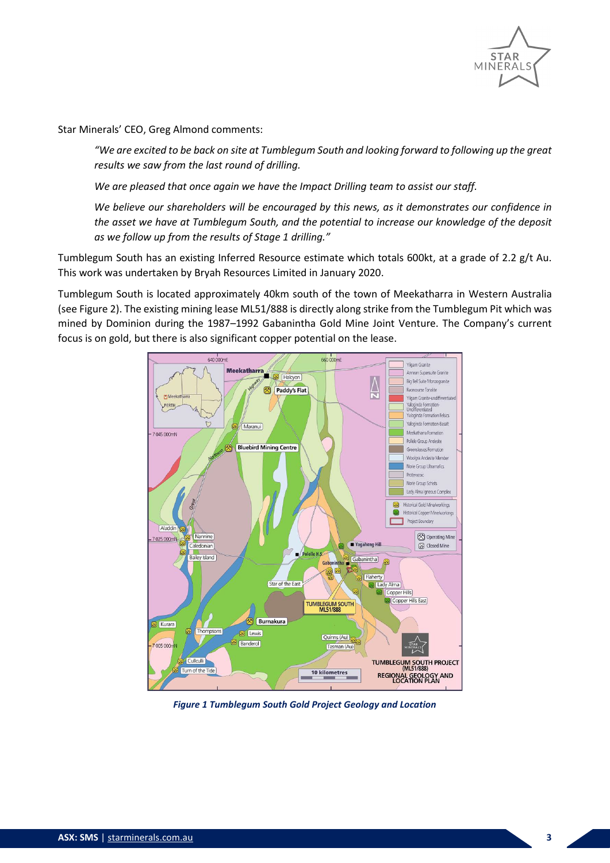

Star Minerals' CEO, Greg Almond comments:

*"We are excited to be back on site at Tumblegum South and looking forward to following up the great results we saw from the last round of drilling.*

*We are pleased that once again we have the Impact Drilling team to assist our staff.*

*We believe our shareholders will be encouraged by this news, as it demonstrates our confidence in the asset we have at Tumblegum South, and the potential to increase our knowledge of the deposit as we follow up from the results of Stage 1 drilling."*

Tumblegum South has an existing Inferred Resource estimate which totals 600kt, at a grade of 2.2 g/t Au. This work was undertaken by Bryah Resources Limited in January 2020.

Tumblegum South is located approximately 40km south of the town of Meekatharra in Western Australia (se[e Figure 2\)](#page-2-0). The existing mining lease ML51/888 is directly along strike from the Tumblegum Pit which was mined by Dominion during the 1987–1992 Gabanintha Gold Mine Joint Venture. The Company's current focus is on gold, but there is also significant copper potential on the lease.



<span id="page-2-0"></span>*Figure 1 Tumblegum South Gold Project Geology and Location*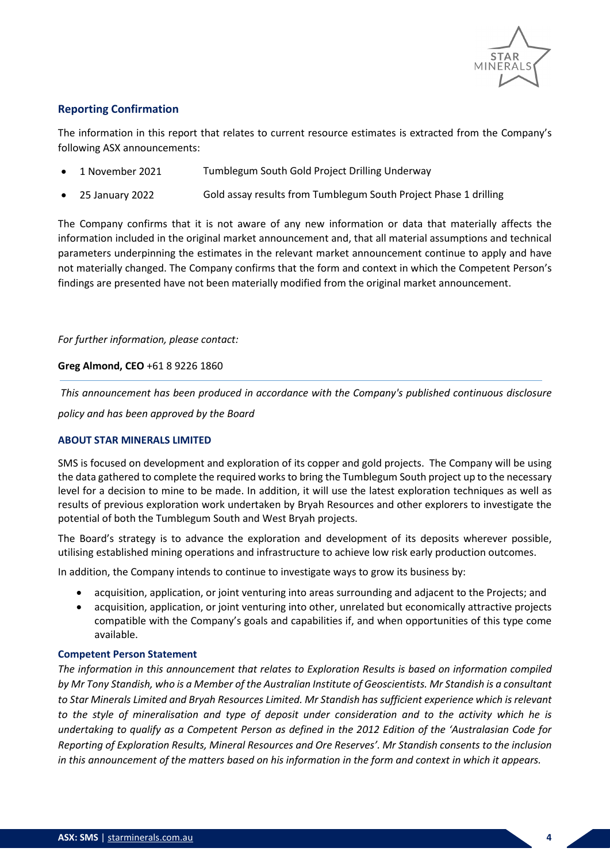

## **Reporting Confirmation**

The information in this report that relates to current resource estimates is extracted from the Company's following ASX announcements:

- 1 November 2021 Tumblegum South Gold Project Drilling Underway
- 25 January 2022 Gold assay results from Tumblegum South Project Phase 1 drilling

The Company confirms that it is not aware of any new information or data that materially affects the information included in the original market announcement and, that all material assumptions and technical parameters underpinning the estimates in the relevant market announcement continue to apply and have not materially changed. The Company confirms that the form and context in which the Competent Person's findings are presented have not been materially modified from the original market announcement.

#### *For further information, please contact:*

#### **Greg Almond, CEO** +61 8 9226 1860

*This announcement has been produced in accordance with the Company's published continuous disclosure* 

*policy and has been approved by the Board*

#### **ABOUT STAR MINERALS LIMITED**

SMS is focused on development and exploration of its copper and gold projects. The Company will be using the data gathered to complete the required works to bring the Tumblegum South project up to the necessary level for a decision to mine to be made. In addition, it will use the latest exploration techniques as well as results of previous exploration work undertaken by Bryah Resources and other explorers to investigate the potential of both the Tumblegum South and West Bryah projects.

The Board's strategy is to advance the exploration and development of its deposits wherever possible, utilising established mining operations and infrastructure to achieve low risk early production outcomes.

In addition, the Company intends to continue to investigate ways to grow its business by:

- acquisition, application, or joint venturing into areas surrounding and adjacent to the Projects; and
- acquisition, application, or joint venturing into other, unrelated but economically attractive projects compatible with the Company's goals and capabilities if, and when opportunities of this type come available.

#### **Competent Person Statement**

*The information in this announcement that relates to Exploration Results is based on information compiled by Mr Tony Standish, who is a Member of the Australian Institute of Geoscientists. Mr Standish is a consultant to Star Minerals Limited and Bryah Resources Limited. Mr Standish has sufficient experience which is relevant to the style of mineralisation and type of deposit under consideration and to the activity which he is undertaking to qualify as a Competent Person as defined in the 2012 Edition of the 'Australasian Code for Reporting of Exploration Results, Mineral Resources and Ore Reserves'. Mr Standish consents to the inclusion in this announcement of the matters based on his information in the form and context in which it appears.*